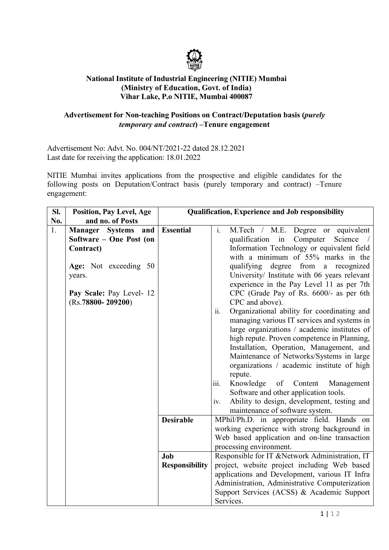

## **National Institute of Industrial Engineering (NITIE) Mumbai (Ministry of Education, Govt. of India) Vihar Lake, P.o NITIE, Mumbai 400087**

## **Advertisement for Non-teaching Positions on Contract/Deputation basis (***purely temporary and contract***) –Tenure engagement**

Advertisement No: Advt. No. 004/NT/2021-22 dated 28.12.2021 Last date for receiving the application: 18.01.2022

NITIE Mumbai invites applications from the prospective and eligible candidates for the following posts on Deputation/Contract basis (purely temporary and contract) –Tenure engagement:

| SI. | <b>Position, Pay Level, Age</b> | <b>Qualification, Experience and Job responsibility</b> |                                                      |
|-----|---------------------------------|---------------------------------------------------------|------------------------------------------------------|
| No. | and no. of Posts                |                                                         |                                                      |
| 1.  | Manager Systems and             | <b>Essential</b>                                        | $\mathbf{i}$ .<br>M.Tech / M.E. Degree or equivalent |
|     | Software - One Post (on         |                                                         | qualification in<br>Computer<br>Science /            |
|     | Contract)                       |                                                         | Information Technology or equivalent field           |
|     |                                 |                                                         | with a minimum of 55% marks in the                   |
|     | Age: Not exceeding 50           |                                                         | qualifying degree from a recognized                  |
|     | years.                          |                                                         | University/ Institute with 06 years relevant         |
|     |                                 |                                                         | experience in the Pay Level 11 as per 7th            |
|     | Pay Scale: Pay Level- 12        |                                                         | CPC (Grade Pay of Rs. 6600/- as per 6th              |
|     | $(Rs.78800 - 209200)$           |                                                         | CPC and above).                                      |
|     |                                 |                                                         | Organizational ability for coordinating and<br>ii.   |
|     |                                 |                                                         | managing various IT services and systems in          |
|     |                                 |                                                         | large organizations / academic institutes of         |
|     |                                 |                                                         | high repute. Proven competence in Planning,          |
|     |                                 |                                                         | Installation, Operation, Management, and             |
|     |                                 |                                                         | Maintenance of Networks/Systems in large             |
|     |                                 |                                                         | organizations / academic institute of high           |
|     |                                 |                                                         | repute.                                              |
|     |                                 |                                                         | Knowledge<br>of<br>Content<br>Management<br>iii.     |
|     |                                 |                                                         | Software and other application tools.                |
|     |                                 |                                                         | Ability to design, development, testing and<br>iv.   |
|     |                                 |                                                         | maintenance of software system.                      |
|     |                                 | <b>Desirable</b>                                        | MPhil/Ph.D. in appropriate field. Hands on           |
|     |                                 |                                                         | working experience with strong background in         |
|     |                                 |                                                         | Web based application and on-line transaction        |
|     |                                 |                                                         | processing environment.                              |
|     |                                 | Job                                                     | Responsible for IT & Network Administration, IT      |
|     |                                 | <b>Responsibility</b>                                   | project, website project including Web based         |
|     |                                 |                                                         | applications and Development, various IT Infra       |
|     |                                 |                                                         | Administration, Administrative Computerization       |
|     |                                 |                                                         | Support Services (ACSS) & Academic Support           |
|     |                                 |                                                         | Services.                                            |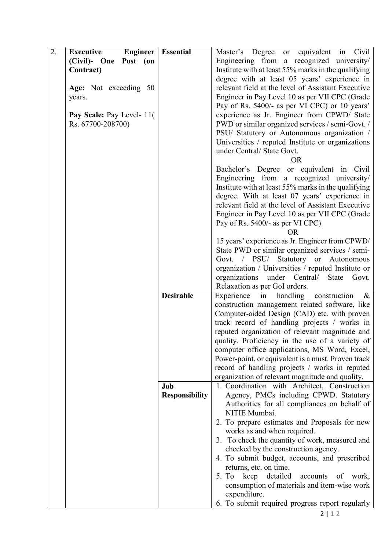| 2. | Engineer<br><b>Executive</b> | <b>Essential</b>      | Master's Degree or equivalent in Civil                                                               |
|----|------------------------------|-----------------------|------------------------------------------------------------------------------------------------------|
|    | (Civil)- One Post (on        |                       | Engineering from a recognized university/                                                            |
|    | Contract)                    |                       | Institute with at least 55% marks in the qualifying                                                  |
|    |                              |                       | degree with at least 05 years' experience in                                                         |
|    | Age: Not exceeding 50        |                       | relevant field at the level of Assistant Executive                                                   |
|    | years.                       |                       | Engineer in Pay Level 10 as per VII CPC (Grade                                                       |
|    |                              |                       | Pay of Rs. 5400/- as per VI CPC) or 10 years'                                                        |
|    | Pay Scale: Pay Level- 11(    |                       | experience as Jr. Engineer from CPWD/ State                                                          |
|    | Rs. 67700-208700)            |                       | PWD or similar organized services / semi-Govt. /                                                     |
|    |                              |                       | PSU/ Statutory or Autonomous organization /                                                          |
|    |                              |                       | Universities / reputed Institute or organizations                                                    |
|    |                              |                       | under Central/ State Govt.                                                                           |
|    |                              |                       | OR.                                                                                                  |
|    |                              |                       | Bachelor's Degree or equivalent in Civil                                                             |
|    |                              |                       | Engineering from a recognized university/                                                            |
|    |                              |                       | Institute with at least 55% marks in the qualifying                                                  |
|    |                              |                       | degree. With at least 07 years' experience in                                                        |
|    |                              |                       | relevant field at the level of Assistant Executive                                                   |
|    |                              |                       | Engineer in Pay Level 10 as per VII CPC (Grade                                                       |
|    |                              |                       | Pay of Rs. 5400/- as per VI CPC)                                                                     |
|    |                              |                       | <b>OR</b>                                                                                            |
|    |                              |                       | 15 years' experience as Jr. Engineer from CPWD/                                                      |
|    |                              |                       | State PWD or similar organized services / semi-                                                      |
|    |                              |                       | Statutory or Autonomous<br>Govt. / PSU/                                                              |
|    |                              |                       | organization / Universities / reputed Institute or                                                   |
|    |                              |                       | organizations<br>under Central/ State<br>Govt.                                                       |
|    |                              |                       | Relaxation as per GoI orders.                                                                        |
|    |                              | <b>Desirable</b>      | handling construction<br>in<br>Experience<br>$\&$                                                    |
|    |                              |                       | construction management related software, like                                                       |
|    |                              |                       | Computer-aided Design (CAD) etc. with proven                                                         |
|    |                              |                       | track record of handling projects / works in                                                         |
|    |                              |                       | reputed organization of relevant magnitude and                                                       |
|    |                              |                       | quality. Proficiency in the use of a variety of                                                      |
|    |                              |                       | computer office applications, MS Word, Excel,                                                        |
|    |                              |                       | Power-point, or equivalent is a must. Proven track<br>record of handling projects / works in reputed |
|    |                              |                       | organization of relevant magnitude and quality.                                                      |
|    |                              | Job                   | 1. Coordination with Architect, Construction                                                         |
|    |                              | <b>Responsibility</b> | Agency, PMCs including CPWD. Statutory                                                               |
|    |                              |                       | Authorities for all compliances on behalf of                                                         |
|    |                              |                       | NITIE Mumbai.                                                                                        |
|    |                              |                       | 2. To prepare estimates and Proposals for new                                                        |
|    |                              |                       | works as and when required.                                                                          |
|    |                              |                       | 3. To check the quantity of work, measured and                                                       |
|    |                              |                       | checked by the construction agency.                                                                  |
|    |                              |                       | 4. To submit budget, accounts, and prescribed                                                        |
|    |                              |                       | returns, etc. on time.                                                                               |
|    |                              |                       | keep detailed<br>5. To<br>accounts of work,                                                          |
|    |                              |                       | consumption of materials and item-wise work                                                          |
|    |                              |                       | expenditure.                                                                                         |
|    |                              |                       | 6. To submit required progress report regularly                                                      |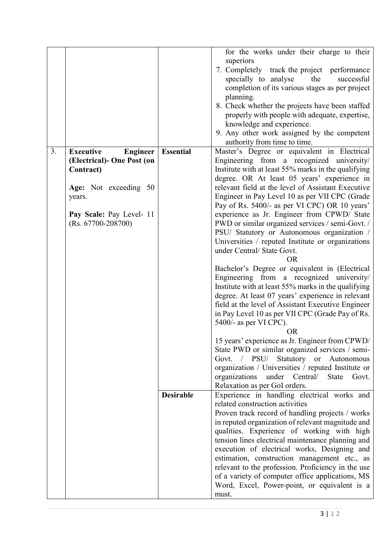|    |                                     |                  | for the works under their charge to their                                                        |
|----|-------------------------------------|------------------|--------------------------------------------------------------------------------------------------|
|    |                                     |                  | superiors                                                                                        |
|    |                                     |                  | 7. Completely track the project performance                                                      |
|    |                                     |                  | specially to analyse<br>the<br>successful                                                        |
|    |                                     |                  | completion of its various stages as per project                                                  |
|    |                                     |                  | planning.                                                                                        |
|    |                                     |                  | 8. Check whether the projects have been staffed                                                  |
|    |                                     |                  | properly with people with adequate, expertise,                                                   |
|    |                                     |                  | knowledge and experience.                                                                        |
|    |                                     |                  | 9. Any other work assigned by the competent                                                      |
|    |                                     |                  | authority from time to time.                                                                     |
| 3. | <b>Executive</b><br><b>Engineer</b> | <b>Essential</b> | Master's Degree or equivalent in Electrical                                                      |
|    | (Electrical)- One Post (on          |                  | Engineering from a recognized university/                                                        |
|    | Contract)                           |                  | Institute with at least 55% marks in the qualifying                                              |
|    |                                     |                  | degree. OR At least 05 years' experience in                                                      |
|    | Age: Not exceeding 50               |                  | relevant field at the level of Assistant Executive                                               |
|    | years.                              |                  | Engineer in Pay Level 10 as per VII CPC (Grade                                                   |
|    |                                     |                  | Pay of Rs. 5400/- as per VI CPC) OR 10 years'                                                    |
|    | Pay Scale: Pay Level- 11            |                  | experience as Jr. Engineer from CPWD/ State                                                      |
|    | $(Rs. 67700-208700)$                |                  | PWD or similar organized services / semi-Govt. /                                                 |
|    |                                     |                  | PSU/ Statutory or Autonomous organization /                                                      |
|    |                                     |                  | Universities / reputed Institute or organizations                                                |
|    |                                     |                  | under Central/ State Govt.                                                                       |
|    |                                     |                  | <b>OR</b>                                                                                        |
|    |                                     |                  | Bachelor's Degree or equivalent in (Electrical                                                   |
|    |                                     |                  | Engineering from a recognized university/<br>Institute with at least 55% marks in the qualifying |
|    |                                     |                  | degree. At least 07 years' experience in relevant                                                |
|    |                                     |                  | field at the level of Assistant Executive Engineer                                               |
|    |                                     |                  | in Pay Level 10 as per VII CPC (Grade Pay of Rs.                                                 |
|    |                                     |                  | $5400/-$ as per VI CPC).                                                                         |
|    |                                     |                  | <b>OR</b>                                                                                        |
|    |                                     |                  | 15 years' experience as Jr. Engineer from CPWD/                                                  |
|    |                                     |                  | State PWD or similar organized services / semi-                                                  |
|    |                                     |                  | Govt. / PSU/ Statutory or Autonomous                                                             |
|    |                                     |                  | organization / Universities / reputed Institute or                                               |
|    |                                     |                  | under Central/<br>organizations<br>State<br>Govt.                                                |
|    |                                     |                  | Relaxation as per GoI orders.                                                                    |
|    |                                     | <b>Desirable</b> | Experience in handling electrical works and                                                      |
|    |                                     |                  | related construction activities                                                                  |
|    |                                     |                  | Proven track record of handling projects / works                                                 |
|    |                                     |                  | in reputed organization of relevant magnitude and                                                |
|    |                                     |                  | qualities. Experience of working with high                                                       |
|    |                                     |                  | tension lines electrical maintenance planning and                                                |
|    |                                     |                  | execution of electrical works, Designing and                                                     |
|    |                                     |                  | estimation, construction management etc., as                                                     |
|    |                                     |                  | relevant to the profession. Proficiency in the use                                               |
|    |                                     |                  | of a variety of computer office applications, MS                                                 |
|    |                                     |                  | Word, Excel, Power-point, or equivalent is a                                                     |
|    |                                     |                  | must.                                                                                            |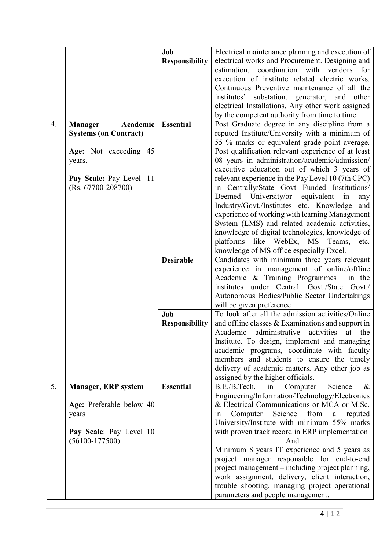|                       |                              | Job                   | Electrical maintenance planning and execution of      |
|-----------------------|------------------------------|-----------------------|-------------------------------------------------------|
|                       |                              | <b>Responsibility</b> | electrical works and Procurement. Designing and       |
|                       |                              |                       | estimation, coordination with vendors<br>for          |
|                       |                              |                       | execution of institute related electric works.        |
|                       |                              |                       | Continuous Preventive maintenance of all the          |
|                       |                              |                       | institutes' substation, generator,<br>and other       |
|                       |                              |                       |                                                       |
|                       |                              |                       | electrical Installations. Any other work assigned     |
|                       |                              |                       | by the competent authority from time to time.         |
| 4.                    | Academic<br><b>Manager</b>   | <b>Essential</b>      | Post Graduate degree in any discipline from a         |
|                       | <b>Systems (on Contract)</b> |                       | reputed Institute/University with a minimum of        |
|                       |                              |                       | 55 % marks or equivalent grade point average.         |
| Age: Not exceeding 45 |                              |                       | Post qualification relevant experience of at least    |
|                       | years.                       |                       | 08 years in administration/academic/admission/        |
|                       |                              |                       | executive education out of which 3 years of           |
|                       | Pay Scale: Pay Level- 11     |                       | relevant experience in the Pay Level 10 (7th CPC)     |
|                       | $(Rs. 67700-208700)$         |                       | in Centrally/State Govt Funded Institutions/          |
|                       |                              |                       | Deemed University/or<br>equivalent<br>in<br>any       |
|                       |                              |                       | Industry/Govt./Institutes etc. Knowledge<br>and       |
|                       |                              |                       | experience of working with learning Management        |
|                       |                              |                       | System (LMS) and related academic activities,         |
|                       |                              |                       | knowledge of digital technologies, knowledge of       |
|                       |                              |                       | platforms<br>like WebEx, MS Teams,<br>etc.            |
|                       |                              |                       | knowledge of MS office especially Excel.              |
|                       |                              | <b>Desirable</b>      | Candidates with minimum three years relevant          |
|                       |                              |                       | experience in management of online/offline            |
|                       |                              |                       | Academic & Training Programmes<br>in the              |
|                       |                              |                       | institutes under Central Govt./State<br>Govt./        |
|                       |                              |                       | Autonomous Bodies/Public Sector Undertakings          |
|                       |                              |                       | will be given preference                              |
|                       |                              | Job                   | To look after all the admission activities/Online     |
|                       |                              | <b>Responsibility</b> | and offline classes & Examinations and support in     |
|                       |                              |                       | Academic<br>activities<br>administrative<br>at<br>the |
|                       |                              |                       | Institute. To design, implement and managing          |
|                       |                              |                       | academic programs, coordinate with faculty            |
|                       |                              |                       | members and students to ensure the timely             |
|                       |                              |                       | delivery of academic matters. Any other job as        |
|                       |                              |                       | assigned by the higher officials.                     |
| 5.                    | <b>Manager, ERP system</b>   | <b>Essential</b>      | B.E./B.Tech.<br>Science<br>Computer<br>$\&$<br>in     |
|                       |                              |                       | Engineering/Information/Technology/Electronics        |
|                       | Age: Preferable below 40     |                       | & Electrical Communications or MCA or M.Sc.           |
|                       | years                        |                       | Computer<br>Science<br>from<br>reputed<br>in<br>a     |
|                       |                              |                       | University/Institute with minimum 55% marks           |
|                       | Pay Scale: Pay Level 10      |                       | with proven track record in ERP implementation        |
|                       | $(56100-177500)$             |                       | And                                                   |
|                       |                              |                       | Minimum 8 years IT experience and 5 years as          |
|                       |                              |                       | project manager responsible for end-to-end            |
|                       |                              |                       | project management - including project planning,      |
|                       |                              |                       | work assignment, delivery, client interaction,        |
|                       |                              |                       | trouble shooting, managing project operational        |
|                       |                              |                       | parameters and people management.                     |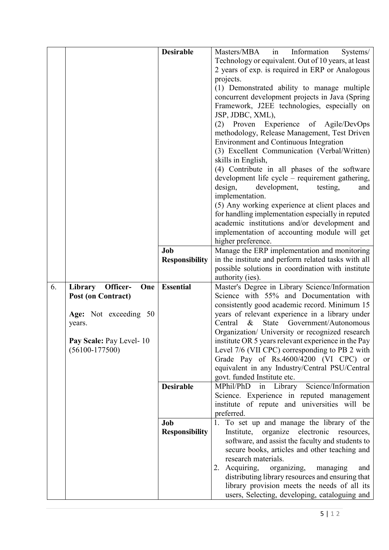|    |                           | <b>Desirable</b>      | Masters/MBA in<br>Information<br>Systems/                                  |
|----|---------------------------|-----------------------|----------------------------------------------------------------------------|
|    |                           |                       | Technology or equivalent. Out of 10 years, at least                        |
|    |                           |                       | 2 years of exp. is required in ERP or Analogous                            |
|    |                           |                       | projects.                                                                  |
|    |                           |                       | (1) Demonstrated ability to manage multiple                                |
|    |                           |                       | concurrent development projects in Java (Spring                            |
|    |                           |                       | Framework, J2EE technologies, especially on                                |
|    |                           |                       | JSP, JDBC, XML),                                                           |
|    |                           |                       | Experience of Agile/DevOps<br>Proven<br>(2)                                |
|    |                           |                       | methodology, Release Management, Test Driven                               |
|    |                           |                       | Environment and Continuous Integration                                     |
|    |                           |                       | (3) Excellent Communication (Verbal/Written)                               |
|    |                           |                       | skills in English,                                                         |
|    |                           |                       | (4) Contribute in all phases of the software                               |
|    |                           |                       | development life cycle – requirement gathering,                            |
|    |                           |                       | design,<br>development,<br>testing,<br>and                                 |
|    |                           |                       | implementation.                                                            |
|    |                           |                       | (5) Any working experience at client places and                            |
|    |                           |                       | for handling implementation especially in reputed                          |
|    |                           |                       | academic institutions and/or development and                               |
|    |                           |                       | implementation of accounting module will get                               |
|    |                           |                       | higher preference.                                                         |
|    |                           | Job                   | Manage the ERP implementation and monitoring                               |
|    |                           | <b>Responsibility</b> | in the institute and perform related tasks with all                        |
|    |                           |                       | possible solutions in coordination with institute                          |
|    |                           |                       | authority (ies).                                                           |
| 6. | Library Officer-<br>One   | <b>Essential</b>      | Master's Degree in Library Science/Information                             |
|    | <b>Post (on Contract)</b> |                       | Science with 55% and Documentation with                                    |
|    |                           |                       | consistently good academic record. Minimum 15                              |
|    | Age: Not exceeding 50     |                       | years of relevant experience in a library under                            |
|    | years.                    |                       | State Government/Autonomous<br>Central<br>$\&$                             |
|    |                           |                       | Organization/ University or recognized research                            |
|    | Pay Scale: Pay Level- 10  |                       | institute OR 5 years relevant experience in the Pay                        |
|    | $(56100-177500)$          |                       | Level 7/6 (VII CPC) corresponding to PB 2 with                             |
|    |                           |                       | Grade Pay of Rs.4600/4200 (VI CPC) or                                      |
|    |                           |                       | equivalent in any Industry/Central PSU/Central                             |
|    |                           | <b>Desirable</b>      | govt. funded Institute etc.<br>MPhil/PhD<br>in Library Science/Information |
|    |                           |                       | Science. Experience in reputed management                                  |
|    |                           |                       | institute of repute and universities will be                               |
|    |                           |                       | preferred.                                                                 |
|    |                           | Job                   | To set up and manage the library of the<br>1.                              |
|    |                           | <b>Responsibility</b> | Institute, organize electronic resources,                                  |
|    |                           |                       | software, and assist the faculty and students to                           |
|    |                           |                       | secure books, articles and other teaching and                              |
|    |                           |                       | research materials.                                                        |
|    |                           |                       | Acquiring,<br>organizing,<br>managing<br>and                               |
|    |                           |                       | distributing library resources and ensuring that                           |
|    |                           |                       | library provision meets the needs of all its                               |
|    |                           |                       | users, Selecting, developing, cataloguing and                              |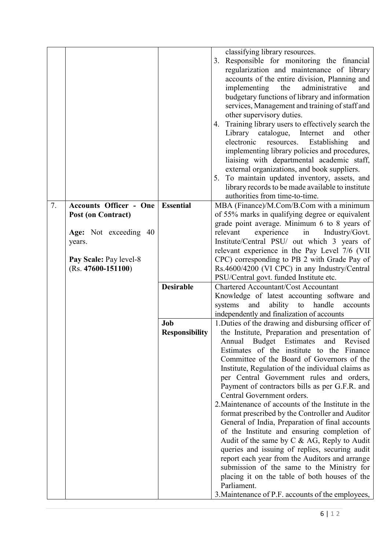|    |                               |                       | classifying library resources.                                                                   |
|----|-------------------------------|-----------------------|--------------------------------------------------------------------------------------------------|
|    |                               |                       | 3. Responsible for monitoring the financial                                                      |
|    |                               |                       | regularization and maintenance of library                                                        |
|    |                               |                       | accounts of the entire division, Planning and                                                    |
|    |                               |                       | implementing the<br>administrative<br>and                                                        |
|    |                               |                       |                                                                                                  |
|    |                               |                       | budgetary functions of library and information                                                   |
|    |                               |                       | services, Management and training of staff and                                                   |
|    |                               |                       | other supervisory duties.                                                                        |
|    |                               |                       | Training library users to effectively search the<br>4.                                           |
|    |                               |                       | Library catalogue,<br>Internet<br>other<br>and                                                   |
|    |                               |                       | electronic<br>resources.<br>Establishing<br>and                                                  |
|    |                               |                       | implementing library policies and procedures,                                                    |
|    |                               |                       | liaising with departmental academic staff,                                                       |
|    |                               |                       | external organizations, and book suppliers.                                                      |
|    |                               |                       | 5. To maintain updated inventory, assets, and                                                    |
|    |                               |                       | library records to be made available to institute                                                |
|    |                               |                       | authorities from time-to-time.                                                                   |
| 7. | <b>Accounts Officer - One</b> | <b>Essential</b>      | MBA (Finance)/M.Com/B.Com with a minimum                                                         |
|    | <b>Post (on Contract)</b>     |                       | of 55% marks in qualifying degree or equivalent                                                  |
|    |                               |                       | grade point average. Minimum 6 to 8 years of                                                     |
|    | Age: Not exceeding 40         |                       | experience<br>in<br>Industry/Govt.<br>relevant                                                   |
|    | years.                        |                       | Institute/Central PSU/ out which 3 years of                                                      |
|    |                               |                       | relevant experience in the Pay Level 7/6 (VII                                                    |
|    | Pay Scale: Pay level-8        |                       | CPC) corresponding to PB 2 with Grade Pay of                                                     |
|    | $(Rs. 47600 - 151100)$        |                       | Rs.4600/4200 (VI CPC) in any Industry/Central                                                    |
|    |                               |                       | PSU/Central govt. funded Institute etc.                                                          |
|    |                               | <b>Desirable</b>      | <b>Chartered Accountant/Cost Accountant</b>                                                      |
|    |                               |                       | Knowledge of latest accounting software and                                                      |
|    |                               |                       | systems<br>and<br>ability<br>handle<br>to<br>accounts                                            |
|    |                               |                       | independently and finalization of accounts                                                       |
|    |                               | Job                   | 1. Duties of the drawing and disbursing officer of                                               |
|    |                               | <b>Responsibility</b> | the Institute, Preparation and presentation of                                                   |
|    |                               |                       | Annual<br>Budget Estimates<br>and<br>Revised                                                     |
|    |                               |                       | Estimates of the institute to the Finance                                                        |
|    |                               |                       | Committee of the Board of Governors of the                                                       |
|    |                               |                       | Institute, Regulation of the individual claims as                                                |
|    |                               |                       | per Central Government rules and orders,                                                         |
|    |                               |                       | Payment of contractors bills as per G.F.R. and<br>Central Government orders.                     |
|    |                               |                       | 2. Maintenance of accounts of the Institute in the                                               |
|    |                               |                       |                                                                                                  |
|    |                               |                       | format prescribed by the Controller and Auditor                                                  |
|    |                               |                       | General of India, Preparation of final accounts                                                  |
|    |                               |                       | of the Institute and ensuring completion of                                                      |
|    |                               |                       | Audit of the same by $C & AG$ , Reply to Audit<br>queries and issuing of replies, securing audit |
|    |                               |                       |                                                                                                  |
|    |                               |                       | report each year from the Auditors and arrange<br>submission of the same to the Ministry for     |
|    |                               |                       | placing it on the table of both houses of the                                                    |
|    |                               |                       | Parliament.                                                                                      |
|    |                               |                       |                                                                                                  |
|    |                               |                       | 3. Maintenance of P.F. accounts of the employees,                                                |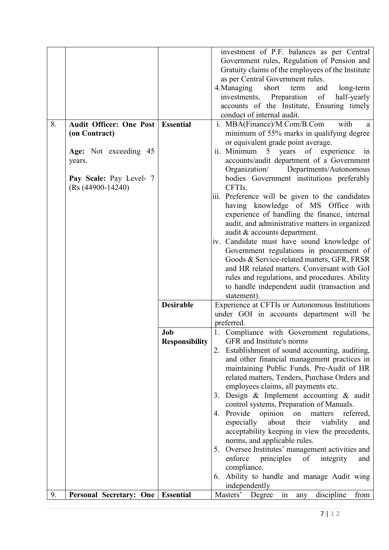|    |                                     |                       | investment of P.F. balances as per Central                                                     |
|----|-------------------------------------|-----------------------|------------------------------------------------------------------------------------------------|
|    |                                     |                       | Government rules, Regulation of Pension and                                                    |
|    |                                     |                       | Gratuity claims of the employees of the Institute                                              |
|    |                                     |                       | as per Central Government rules.                                                               |
|    |                                     |                       | 4. Managing<br>short<br>and<br>long-term<br>term                                               |
|    |                                     |                       | investments, Preparation<br>of<br>half-yearly                                                  |
|    |                                     |                       | accounts of the Institute, Ensuring timely                                                     |
|    |                                     |                       | conduct of internal audit.                                                                     |
| 8. | Audit Officer: One Post   Essential |                       | i. MBA(Finance)/M.Com/B.Com<br>with<br>a                                                       |
|    | (on Contract)                       |                       | minimum of 55% marks in qualifying degree                                                      |
|    |                                     |                       | or equivalent grade point average.                                                             |
|    | Age: Not exceeding 45               |                       | ii. Minimum 5 years of experience<br>1n                                                        |
|    | years.                              |                       | accounts/audit department of a Government                                                      |
|    |                                     |                       | Organization/<br>Departments/Autonomous                                                        |
|    | Pay Scale: Pay Level- 7             |                       | bodies Government institutions preferably                                                      |
|    | $(Rs (44900-14240))$                |                       | CFTI <sub>s</sub> .                                                                            |
|    |                                     |                       | iii. Preference will be given to the candidates                                                |
|    |                                     |                       | having knowledge of MS Office with                                                             |
|    |                                     |                       | experience of handling the finance, internal                                                   |
|    |                                     |                       | audit, and administrative matters in organized                                                 |
|    |                                     |                       | audit & accounts department.                                                                   |
|    |                                     |                       | iv. Candidate must have sound knowledge of                                                     |
|    |                                     |                       | Government regulations in procurement of                                                       |
|    |                                     |                       | Goods & Service-related matters, GFR, FRSR                                                     |
|    |                                     |                       | and HR related matters. Conversant with GoI                                                    |
|    |                                     |                       |                                                                                                |
|    |                                     |                       | rules and regulations, and procedures. Ability<br>to handle independent audit (transaction and |
|    |                                     |                       | statement).                                                                                    |
|    |                                     | <b>Desirable</b>      | Experience at CFTIs or Autonomous Institutions                                                 |
|    |                                     |                       | under GOI in accounts department will be                                                       |
|    |                                     |                       | preferred.                                                                                     |
|    |                                     | Job                   | 1. Compliance with Government regulations,                                                     |
|    |                                     | <b>Responsibility</b> | GFR and Institute's norms                                                                      |
|    |                                     |                       | Establishment of sound accounting, auditing,                                                   |
|    |                                     |                       | and other financial management practices in                                                    |
|    |                                     |                       | maintaining Public Funds. Pre-Audit of HR                                                      |
|    |                                     |                       | related matters, Tenders, Purchase Orders and                                                  |
|    |                                     |                       | employees claims, all payments etc.                                                            |
|    |                                     |                       | 3. Design & Implement accounting & audit                                                       |
|    |                                     |                       | control systems, Preparation of Manuals.                                                       |
|    |                                     |                       | 4. Provide opinion on matters<br>referred,                                                     |
|    |                                     |                       | especially<br>about<br>their<br>viability<br>and                                               |
|    |                                     |                       | acceptability keeping in view the precedents,                                                  |
|    |                                     |                       | norms, and applicable rules.                                                                   |
|    |                                     |                       |                                                                                                |
|    |                                     |                       | 5. Oversee Institutes' management activities and                                               |
|    |                                     |                       | enforce<br>of<br>principles<br>integrity<br>and                                                |
|    |                                     |                       | compliance.                                                                                    |
|    |                                     |                       | 6. Ability to handle and manage Audit wing<br>independently                                    |
| 9. | Personal Secretary: One   Essential |                       | $\overline{\text{in}}$<br>Masters'<br>Degree<br>discipline<br>from                             |
|    |                                     |                       | any                                                                                            |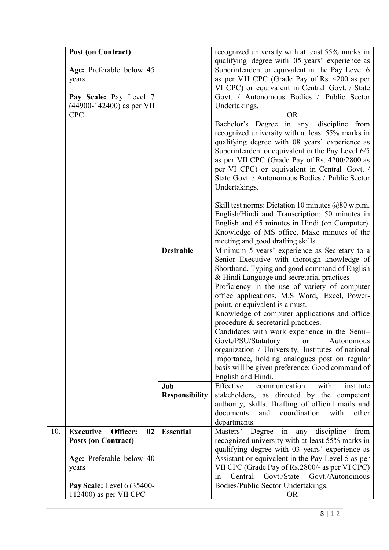|     | <b>Post (on Contract)</b><br>Age: Preferable below 45<br>years<br>Pay Scale: Pay Level 7<br>$(44900 - 142400)$ as per VII<br><b>CPC</b> |                       | recognized university with at least 55% marks in<br>qualifying degree with 05 years' experience as<br>Superintendent or equivalent in the Pay Level 6<br>as per VII CPC (Grade Pay of Rs. 4200 as per<br>VI CPC) or equivalent in Central Govt. / State<br>Govt. / Autonomous Bodies / Public Sector<br>Undertakings.<br><b>OR</b>                                                                                                                                                                                                                                                                                                                                                                      |
|-----|-----------------------------------------------------------------------------------------------------------------------------------------|-----------------------|---------------------------------------------------------------------------------------------------------------------------------------------------------------------------------------------------------------------------------------------------------------------------------------------------------------------------------------------------------------------------------------------------------------------------------------------------------------------------------------------------------------------------------------------------------------------------------------------------------------------------------------------------------------------------------------------------------|
|     |                                                                                                                                         |                       | Bachelor's Degree in any discipline from<br>recognized university with at least 55% marks in<br>qualifying degree with 08 years' experience as<br>Superintendent or equivalent in the Pay Level 6/5<br>as per VII CPC (Grade Pay of Rs. 4200/2800 as<br>per VI CPC) or equivalent in Central Govt. /<br>State Govt. / Autonomous Bodies / Public Sector<br>Undertakings.                                                                                                                                                                                                                                                                                                                                |
|     |                                                                                                                                         |                       | Skill test norms: Dictation 10 minutes $@80$ w.p.m.<br>English/Hindi and Transcription: 50 minutes in<br>English and 65 minutes in Hindi (on Computer).<br>Knowledge of MS office. Make minutes of the<br>meeting and good drafting skills                                                                                                                                                                                                                                                                                                                                                                                                                                                              |
|     |                                                                                                                                         | <b>Desirable</b>      | Minimum 5 years' experience as Secretary to a<br>Senior Executive with thorough knowledge of<br>Shorthand, Typing and good command of English<br>& Hindi Language and secretarial practices<br>Proficiency in the use of variety of computer<br>office applications, M.S Word, Excel, Power-<br>point, or equivalent is a must.<br>Knowledge of computer applications and office<br>procedure & secretarial practices.<br>Candidates with work experience in the Semi-<br>Govt./PSU/Statutory<br><b>or</b><br>Autonomous<br>organization / University, Institutes of national<br>importance, holding analogues post on regular<br>basis will be given preference; Good command of<br>English and Hindi. |
|     |                                                                                                                                         | Job                   | communication<br>Effective<br>with<br>institute                                                                                                                                                                                                                                                                                                                                                                                                                                                                                                                                                                                                                                                         |
|     |                                                                                                                                         | <b>Responsibility</b> | stakeholders, as directed by the competent<br>authority, skills. Drafting of official mails and<br>documents<br>coordination<br>and<br>with<br>other<br>departments.                                                                                                                                                                                                                                                                                                                                                                                                                                                                                                                                    |
| 10. | <b>Executive</b><br>Officer:<br>02<br><b>Posts (on Contract)</b>                                                                        | <b>Essential</b>      | Masters' Degree in any discipline<br>from<br>recognized university with at least 55% marks in<br>qualifying degree with 03 years' experience as                                                                                                                                                                                                                                                                                                                                                                                                                                                                                                                                                         |
|     | Age: Preferable below 40<br>years                                                                                                       |                       | Assistant or equivalent in the Pay Level 5 as per<br>VII CPC (Grade Pay of Rs.2800/- as per VI CPC)<br>Central<br>Govt./State<br>Govt./Autonomous<br>1n                                                                                                                                                                                                                                                                                                                                                                                                                                                                                                                                                 |
|     | Pay Scale: Level 6 (35400-<br>$112400$ ) as per VII CPC                                                                                 |                       | Bodies/Public Sector Undertakings.<br><b>OR</b>                                                                                                                                                                                                                                                                                                                                                                                                                                                                                                                                                                                                                                                         |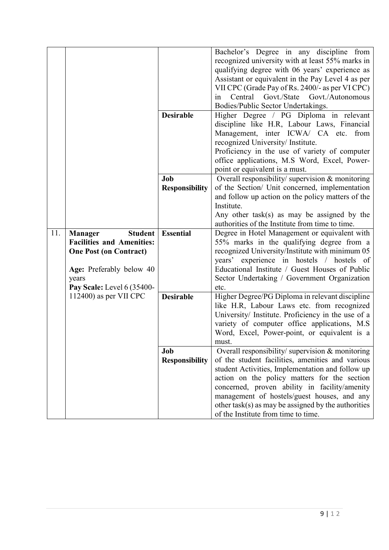|     |                                  |                       | Bachelor's Degree in any discipline from                |
|-----|----------------------------------|-----------------------|---------------------------------------------------------|
|     |                                  |                       | recognized university with at least 55% marks in        |
|     |                                  |                       | qualifying degree with 06 years' experience as          |
|     |                                  |                       | Assistant or equivalent in the Pay Level 4 as per       |
|     |                                  |                       | VII CPC (Grade Pay of Rs. 2400/- as per VI CPC)         |
|     |                                  |                       | Central Govt./State Govt./Autonomous<br>in              |
|     |                                  |                       | Bodies/Public Sector Undertakings.                      |
|     |                                  | <b>Desirable</b>      | Higher Degree / PG Diploma in relevant                  |
|     |                                  |                       | discipline like H.R, Labour Laws, Financial             |
|     |                                  |                       | Management, inter ICWA/ CA etc. from                    |
|     |                                  |                       | recognized University/ Institute.                       |
|     |                                  |                       | Proficiency in the use of variety of computer           |
|     |                                  |                       |                                                         |
|     |                                  |                       | office applications, M.S Word, Excel, Power-            |
|     |                                  |                       | point or equivalent is a must.                          |
|     |                                  | Job                   | Overall responsibility/ supervision & monitoring        |
|     |                                  | <b>Responsibility</b> | of the Section/ Unit concerned, implementation          |
|     |                                  |                       | and follow up action on the policy matters of the       |
|     |                                  |                       | Institute.                                              |
|     |                                  |                       | Any other task(s) as may be assigned by the             |
|     |                                  |                       | authorities of the Institute from time to time.         |
| 11. | <b>Student</b><br><b>Manager</b> | <b>Essential</b>      | Degree in Hotel Management or equivalent with           |
|     | <b>Facilities and Amenities:</b> |                       | 55% marks in the qualifying degree from a               |
|     | <b>One Post (on Contract)</b>    |                       | recognized University/Institute with minimum 05         |
|     |                                  |                       | years' experience in hostels / hostels of               |
|     | Age: Preferably below 40         |                       | Educational Institute / Guest Houses of Public          |
|     | years                            |                       | Sector Undertaking / Government Organization            |
|     | Pay Scale: Level 6 (35400-       |                       | etc.                                                    |
|     | $112400$ ) as per VII CPC        | <b>Desirable</b>      | Higher Degree/PG Diploma in relevant discipline         |
|     |                                  |                       | like H.R, Labour Laws etc. from recognized              |
|     |                                  |                       | University/ Institute. Proficiency in the use of a      |
|     |                                  |                       | variety of computer office applications, M.S.           |
|     |                                  |                       | Word, Excel, Power-point, or equivalent is a            |
|     |                                  |                       | must.                                                   |
|     |                                  | Job                   | Overall responsibility/ supervision & monitoring        |
|     |                                  | <b>Responsibility</b> | of the student facilities, amenities and various        |
|     |                                  |                       | student Activities, Implementation and follow up        |
|     |                                  |                       | action on the policy matters for the section            |
|     |                                  |                       | concerned, proven ability in facility/amenity           |
|     |                                  |                       | management of hostels/guest houses, and any             |
|     |                                  |                       | other task( $s$ ) as may be assigned by the authorities |
|     |                                  |                       | of the Institute from time to time.                     |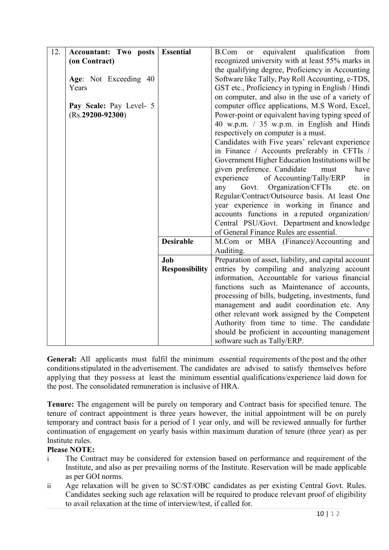| 12. | <b>Accountant: Two posts</b> | <b>Essential</b>      | equivalent qualification<br>B.Com<br>from<br>or      |  |  |
|-----|------------------------------|-----------------------|------------------------------------------------------|--|--|
|     | (on Contract)                |                       | recognized university with at least 55% marks in     |  |  |
|     |                              |                       | the qualifying degree, Proficiency in Accounting     |  |  |
|     | Age: Not Exceeding 40        |                       | Software like Tally, Pay Roll Accounting, e-TDS,     |  |  |
|     | Years                        |                       | GST etc., Proficiency in typing in English / Hindi   |  |  |
|     |                              |                       | on computer, and also in the use of a variety of     |  |  |
|     | Pay Scale: Pay Level- 5      |                       | computer office applications, M.S Word, Excel,       |  |  |
|     | $(Rs.29200-92300)$           |                       | Power-point or equivalent having typing speed of     |  |  |
|     |                              |                       | 40 w.p.m. / 35 w.p.m. in English and Hindi           |  |  |
|     |                              |                       | respectively on computer is a must.                  |  |  |
|     |                              |                       | Candidates with Five years' relevant experience      |  |  |
|     |                              |                       | in Finance / Accounts preferably in CFTIs /          |  |  |
|     |                              |                       | Government Higher Education Institutions will be     |  |  |
|     |                              |                       | given preference. Candidate<br>must<br>have          |  |  |
|     |                              |                       | experience<br>of Accounting/Tally/ERP<br>1n          |  |  |
|     |                              |                       | Govt. Organization/CFTIs<br>any<br>etc. on           |  |  |
|     |                              |                       | Regular/Contract/Outsource basis. At least One       |  |  |
|     |                              |                       | year experience in working in finance and            |  |  |
|     |                              |                       | accounts functions in a reputed organization/        |  |  |
|     |                              |                       | Central PSU/Govt. Department and knowledge           |  |  |
|     |                              |                       | of General Finance Rules are essential.              |  |  |
|     |                              | <b>Desirable</b>      | M.Com or MBA (Finance)/Accounting and                |  |  |
|     |                              |                       | Auditing.                                            |  |  |
|     |                              | Job                   | Preparation of asset, liability, and capital account |  |  |
|     |                              | <b>Responsibility</b> | entries by compiling and analyzing account           |  |  |
|     |                              |                       | information, Accountable for various financial       |  |  |
|     |                              |                       | functions such as Maintenance of accounts,           |  |  |
|     |                              |                       | processing of bills, budgeting, investments, fund    |  |  |
|     |                              |                       | management and audit coordination etc. Any           |  |  |
|     |                              |                       | other relevant work assigned by the Competent        |  |  |
|     |                              |                       | Authority from time to time. The candidate           |  |  |
|     |                              |                       | should be proficient in accounting management        |  |  |
|     |                              |                       | software such as Tally/ERP.                          |  |  |

**General:** All applicants must fulfil the minimum essential requirements of the post and the other conditions stipulated in the advertisement. The candidates are advised to satisfy themselves before applying that they possess at least the minimum essential qualifications/experience laid down for the post. The consolidated remuneration is inclusive of HRA.

**Tenure:** The engagement will be purely on temporary and Contract basis for specified tenure. The tenure of contract appointment is three years however, the initial appointment will be on purely temporary and contract basis for a period of 1 year only, and will be reviewed annually for further continuation of engagement on yearly basis within maximum duration of tenure (three year) as per Institute rules.

## **Please NOTE:**

- i The Contract may be considered for extension based on performance and requirement of the Institute, and also as per prevailing norms of the Institute. Reservation will be made applicable as per GOI norms.
- ii Age relaxation will be given to SC/ST/OBC candidates as per existing Central Govt. Rules. Candidates seeking such age relaxation will be required to produce relevant proof of eligibility to avail relaxation at the time of interview/test, if called for.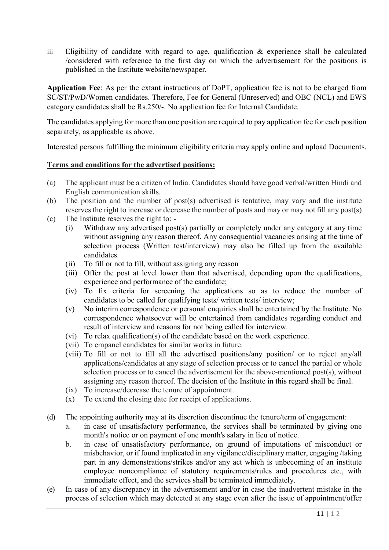iii Eligibility of candidate with regard to age, qualification  $\&$  experience shall be calculated /considered with reference to the first day on which the advertisement for the positions is published in the Institute website/newspaper.

**Application Fee**: As per the extant instructions of DoPT, application fee is not to be charged from SC/ST/PwD/Women candidates. Therefore, Fee for General (Unreserved) and OBC (NCL) and EWS category candidates shall be Rs.250/-. No application fee for Internal Candidate.

The candidates applying for more than one position are required to pay application fee for each position separately, as applicable as above.

Interested persons fulfilling the minimum eligibility criteria may apply online and upload Documents.

## **Terms and conditions for the advertised positions:**

- (a) The applicant must be a citizen of India. Candidates should have good verbal/written Hindi and English communication skills.
- (b) The position and the number of post(s) advertised is tentative, may vary and the institute reserves the right to increase or decrease the number of posts and may or may not fill any post(s)
- (c) The Institute reserves the right to:
	- (i) Withdraw any advertised post(s) partially or completely under any category at any time without assigning any reason thereof. Any consequential vacancies arising at the time of selection process (Written test/interview) may also be filled up from the available candidates.
	- (ii) To fill or not to fill, without assigning any reason
	- (iii) Offer the post at level lower than that advertised, depending upon the qualifications, experience and performance of the candidate;
	- (iv) To fix criteria for screening the applications so as to reduce the number of candidates to be called for qualifying tests/ written tests/ interview;
	- (v) No interim correspondence or personal enquiries shall be entertained by the Institute. No correspondence whatsoever will be entertained from candidates regarding conduct and result of interview and reasons for not being called for interview.
	- (vi) To relax qualification(s) of the candidate based on the work experience.
	- (vii) To empanel candidates for similar works in future.
	- (viii) To fill or not to fill all the advertised positions/any position/ or to reject any/all applications/candidates at any stage of selection process or to cancel the partial or whole selection process or to cancel the advertisement for the above-mentioned post(s), without assigning any reason thereof. The decision of the Institute in this regard shall be final.
	- (ix) To increase/decrease the tenure of appointment.
	- (x) To extend the closing date for receipt of applications.
- (d) The appointing authority may at its discretion discontinue the tenure/term of engagement:
	- a. in case of unsatisfactory performance, the services shall be terminated by giving one month's notice or on payment of one month's salary in lieu of notice.
	- b. in case of unsatisfactory performance, on ground of imputations of misconduct or misbehavior, or if found implicated in any vigilance/disciplinary matter, engaging /taking part in any demonstrations/strikes and/or any act which is unbecoming of an institute employee noncompliance of statutory requirements/rules and procedures etc., with immediate effect, and the services shall be terminated immediately.
- (e) In case of any discrepancy in the advertisement and/or in case the inadvertent mistake in the process of selection which may detected at any stage even after the issue of appointment/offer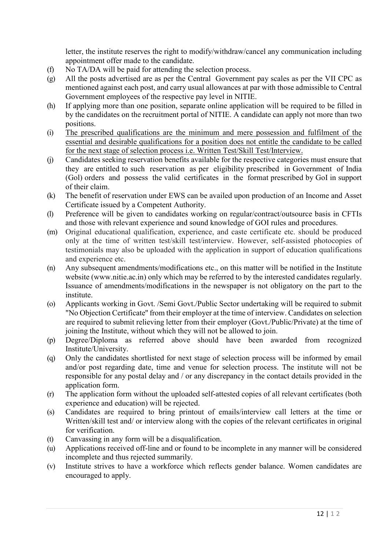letter, the institute reserves the right to modify/withdraw/cancel any communication including appointment offer made to the candidate.

- (f) No TA/DA will be paid for attending the selection process.
- (g) All the posts advertised are as per the Central Government pay scales as per the VII CPC as mentioned against each post, and carry usual allowances at par with those admissible to Central Government employees of the respective pay level in NITIE.
- (h) If applying more than one position, separate online application will be required to be filled in by the candidates on the recruitment portal of NITIE. A candidate can apply not more than two positions.
- (i) The prescribed qualifications are the minimum and mere possession and fulfilment of the essential and desirable qualifications for a position does not entitle the candidate to be called for the next stage of selection process i.e. Written Test/Skill Test/Interview.
- (j) Candidates seeking reservation benefits available for the respective categories must ensure that they are entitled to such reservation as per eligibility prescribed in Government of India (Gol) orders and possess the valid certificates in the format prescribed by GoI in support of their claim.
- (k) The benefit of reservation under EWS can be availed upon production of an Income and Asset Certificate issued by a Competent Authority.
- (l) Preference will be given to candidates working on regular/contract/outsource basis in CFTIs and those with relevant experience and sound knowledge of GOI rules and procedures.
- (m) Original educational qualification, experience, and caste certificate etc. should be produced only at the time of written test/skill test/interview. However, self-assisted photocopies of testimonials may also be uploaded with the application in support of education qualifications and experience etc.
- (n) Any subsequent amendments/modifications etc., on this matter will be notified in the Institute website (www.nitie.ac.in) only which may be referred to by the interested candidates regularly. Issuance of amendments/modifications in the newspaper is not obligatory on the part to the institute.
- (o) Applicants working in Govt. /Semi Govt./Public Sector undertaking will be required to submit "No Objection Certificate'' from their employer at the time of interview. Candidates on selection are required to submit relieving letter from their employer (Govt./Public/Private) at the time of joining the Institute, without which they will not be allowed to join.
- (p) Degree/Diploma as referred above should have been awarded from recognized Institute/University.
- (q) Only the candidates shortlisted for next stage of selection process will be informed by email and/or post regarding date, time and venue for selection process. The institute will not be responsible for any postal delay and / or any discrepancy in the contact details provided in the application form.
- (r) The application form without the uploaded self-attested copies of all relevant certificates (both experience and education) will be rejected.
- (s) Candidates are required to bring printout of emails/interview call letters at the time or Written/skill test and/ or interview along with the copies of the relevant certificates in original for verification.
- (t) Canvassing in any form will be a disqualification.
- (u) Applications received off-line and or found to be incomplete in any manner will be considered incomplete and thus rejected summarily.
- (v) Institute strives to have a workforce which reflects gender balance. Women candidates are encouraged to apply.